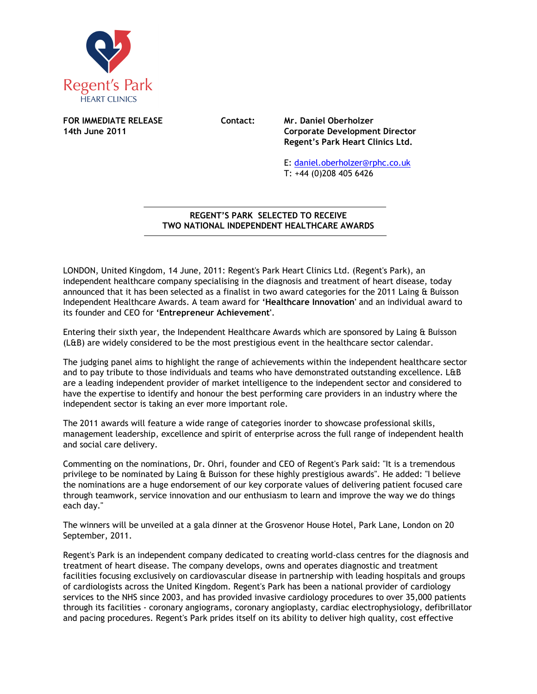

**FOR IMMEDIATE RELEASE Contact: Mr. Daniel Oberholzer** 

**14th June 2011 Corporate Development Director Regent's Park Heart Clinics Ltd.** 

> E: daniel.oberholzer@rphc.co.uk T: +44 (0)208 405 6426

## **REGENT'S PARK SELECTED TO RECEIVE TWO NATIONAL INDEPENDENT HEALTHCARE AWARDS**   $\overline{a}$

LONDON, United Kingdom, 14 June, 2011: Regent's Park Heart Clinics Ltd. (Regent's Park), an independent healthcare company specialising in the diagnosis and treatment of heart disease, today announced that it has been selected as a finalist in two award categories for the 2011 Laing & Buisson Independent Healthcare Awards. A team award for **'Healthcare Innovation'** and an individual award to its founder and CEO for **'Entrepreneur Achievement'**.

Entering their sixth year, the Independent Healthcare Awards which are sponsored by Laing & Buisson (L&B) are widely considered to be the most prestigious event in the healthcare sector calendar.

The judging panel aims to highlight the range of achievements within the independent healthcare sector and to pay tribute to those individuals and teams who have demonstrated outstanding excellence. L&B are a leading independent provider of market intelligence to the independent sector and considered to have the expertise to identify and honour the best performing care providers in an industry where the independent sector is taking an ever more important role.

The 2011 awards will feature a wide range of categories inorder to showcase professional skills, management leadership, excellence and spirit of enterprise across the full range of independent health and social care delivery.

Commenting on the nominations, Dr. Ohri, founder and CEO of Regent's Park said: "It is a tremendous privilege to be nominated by Laing & Buisson for these highly prestigious awards". He added: "I believe the nominations are a huge endorsement of our key corporate values of delivering patient focused care through teamwork, service innovation and our enthusiasm to learn and improve the way we do things each day."

The winners will be unveiled at a gala dinner at the Grosvenor House Hotel, Park Lane, London on 20 September, 2011.

Regent's Park is an independent company dedicated to creating world-class centres for the diagnosis and treatment of heart disease. The company develops, owns and operates diagnostic and treatment facilities focusing exclusively on cardiovascular disease in partnership with leading hospitals and groups of cardiologists across the United Kingdom. Regent's Park has been a national provider of cardiology services to the NHS since 2003, and has provided invasive cardiology procedures to over 35,000 patients through its facilities - coronary angiograms, coronary angioplasty, cardiac electrophysiology, defibrillator and pacing procedures. Regent's Park prides itself on its ability to deliver high quality, cost effective